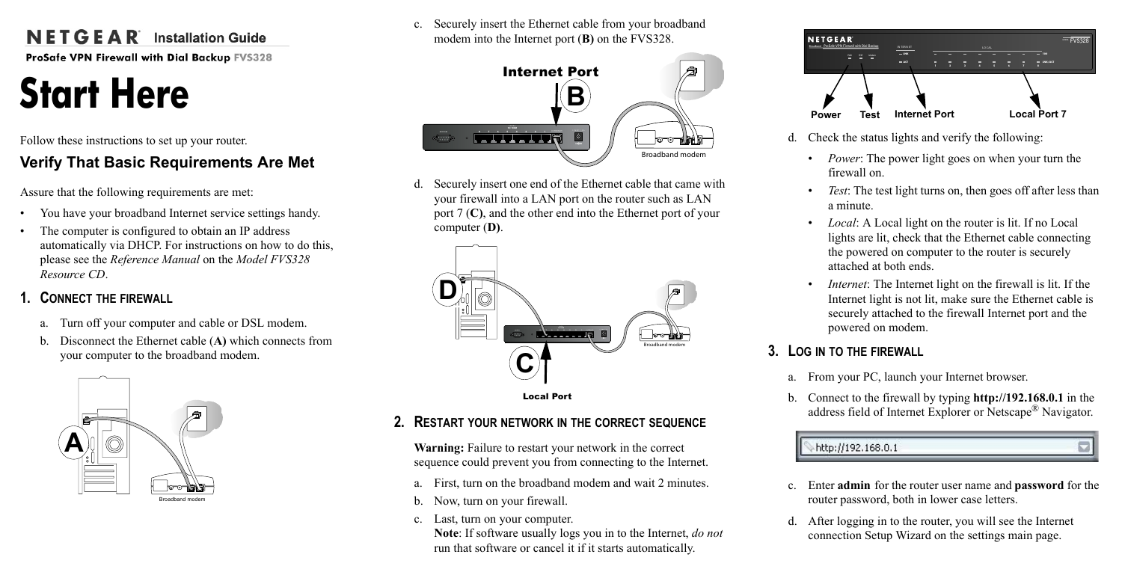# $N$  **E T G E**  $\triangle$  **R** Installation Guide

ProSafe VPN Firewall with Dial Backup FVS328

# **Start Here**

Follow these instructions to set up your router.

# **Verify That Basic Requirements Are Met**

Assure that the following requirements are met:

- You have your broadband Internet service settings handy.
- The computer is configured to obtain an IP address automatically via DHCP. For instructions on how to do this, please see the *Reference Manual* on the *Model FVS328 Resource CD*.

# **1. CONNECT THE FIREWALL**

- a. Turn off your computer and cable or DSL modem.
- b. Disconnect the Ethernet cable (**A)** which connects from your computer to the broadband modem.



c. Securely insert the Ethernet cable from your broadband modem into the Internet port (**B)** on the FVS328.



d. Securely insert one end of the Ethernet cable that came with your firewall into a LAN port on the router such as LAN port 7 (**C)**, and the other end into the Ethernet port of your computer (**D)**.



#### Local Port

## **2. RESTART YOUR NETWORK IN THE CORRECT SEQUENCE**

**Warning:** Failure to restart your network in the correct sequence could prevent you from connecting to the Internet.

- a. First, turn on the broadband modem and wait 2 minutes.
- b. Now, turn on your firewall.
- c. Last, turn on your computer.

**Note**: If software usually logs you in to the Internet, *do not* run that software or cancel it if it starts automatically.



- d. Check the status lights and verify the following:
	- *Power*: The power light goes on when your turn the firewall on.
	- *Test*: The test light turns on, then goes off after less than a minute.
	- *Local*: A Local light on the router is lit. If no Local lights are lit, check that the Ethernet cable connecting the powered on computer to the router is securely attached at both ends.
	- *Internet*: The Internet light on the firewall is lit. If the Internet light is not lit, make sure the Ethernet cable is securely attached to the firewall Internet port and the powered on modem.

## **3. LOG IN TO THE FIREWALL**

- a. From your PC, launch your Internet browser.
- b. Connect to the firewall by typing **http://192.168.0.1** in the address field of Internet Explorer or Netscape® Navigator.



- c. Enter **admin** for the router user name and **password** for the router password, both in lower case letters.
- d. After logging in to the router, you will see the Internet connection Setup Wizard on the settings main page.